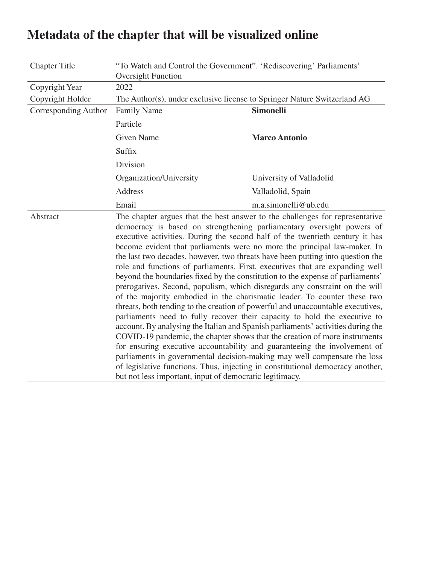| <b>Chapter Title</b> | "To Watch and Control the Government". 'Rediscovering' Parliaments'<br><b>Oversight Function</b>                                                                                                                                                                                                                                                                                                                                                                                                                                                                                                                                                                                                                                                                                                                                                                                                                                                                                                                                                                                                                                                                                                                                                                                                                                                                         |                          |  |
|----------------------|--------------------------------------------------------------------------------------------------------------------------------------------------------------------------------------------------------------------------------------------------------------------------------------------------------------------------------------------------------------------------------------------------------------------------------------------------------------------------------------------------------------------------------------------------------------------------------------------------------------------------------------------------------------------------------------------------------------------------------------------------------------------------------------------------------------------------------------------------------------------------------------------------------------------------------------------------------------------------------------------------------------------------------------------------------------------------------------------------------------------------------------------------------------------------------------------------------------------------------------------------------------------------------------------------------------------------------------------------------------------------|--------------------------|--|
| Copyright Year       | 2022                                                                                                                                                                                                                                                                                                                                                                                                                                                                                                                                                                                                                                                                                                                                                                                                                                                                                                                                                                                                                                                                                                                                                                                                                                                                                                                                                                     |                          |  |
| Copyright Holder     | The Author(s), under exclusive license to Springer Nature Switzerland AG                                                                                                                                                                                                                                                                                                                                                                                                                                                                                                                                                                                                                                                                                                                                                                                                                                                                                                                                                                                                                                                                                                                                                                                                                                                                                                 |                          |  |
| Corresponding Author | <b>Family Name</b>                                                                                                                                                                                                                                                                                                                                                                                                                                                                                                                                                                                                                                                                                                                                                                                                                                                                                                                                                                                                                                                                                                                                                                                                                                                                                                                                                       | <b>Simonelli</b>         |  |
|                      | Particle                                                                                                                                                                                                                                                                                                                                                                                                                                                                                                                                                                                                                                                                                                                                                                                                                                                                                                                                                                                                                                                                                                                                                                                                                                                                                                                                                                 |                          |  |
|                      | <b>Given Name</b>                                                                                                                                                                                                                                                                                                                                                                                                                                                                                                                                                                                                                                                                                                                                                                                                                                                                                                                                                                                                                                                                                                                                                                                                                                                                                                                                                        | <b>Marco Antonio</b>     |  |
|                      | Suffix                                                                                                                                                                                                                                                                                                                                                                                                                                                                                                                                                                                                                                                                                                                                                                                                                                                                                                                                                                                                                                                                                                                                                                                                                                                                                                                                                                   |                          |  |
|                      | Division                                                                                                                                                                                                                                                                                                                                                                                                                                                                                                                                                                                                                                                                                                                                                                                                                                                                                                                                                                                                                                                                                                                                                                                                                                                                                                                                                                 |                          |  |
|                      | Organization/University                                                                                                                                                                                                                                                                                                                                                                                                                                                                                                                                                                                                                                                                                                                                                                                                                                                                                                                                                                                                                                                                                                                                                                                                                                                                                                                                                  | University of Valladolid |  |
|                      | Address                                                                                                                                                                                                                                                                                                                                                                                                                                                                                                                                                                                                                                                                                                                                                                                                                                                                                                                                                                                                                                                                                                                                                                                                                                                                                                                                                                  | Valladolid, Spain        |  |
|                      | Email                                                                                                                                                                                                                                                                                                                                                                                                                                                                                                                                                                                                                                                                                                                                                                                                                                                                                                                                                                                                                                                                                                                                                                                                                                                                                                                                                                    | m.a.simonelli@ub.edu     |  |
| Abstract             | The chapter argues that the best answer to the challenges for representative<br>democracy is based on strengthening parliamentary oversight powers of<br>executive activities. During the second half of the twentieth century it has<br>become evident that parliaments were no more the principal law-maker. In<br>the last two decades, however, two threats have been putting into question the<br>role and functions of parliaments. First, executives that are expanding well<br>beyond the boundaries fixed by the constitution to the expense of parliaments'<br>prerogatives. Second, populism, which disregards any constraint on the will<br>of the majority embodied in the charismatic leader. To counter these two<br>threats, both tending to the creation of powerful and unaccountable executives,<br>parliaments need to fully recover their capacity to hold the executive to<br>account. By analysing the Italian and Spanish parliaments' activities during the<br>COVID-19 pandemic, the chapter shows that the creation of more instruments<br>for ensuring executive accountability and guaranteeing the involvement of<br>parliaments in governmental decision-making may well compensate the loss<br>of legislative functions. Thus, injecting in constitutional democracy another,<br>but not less important, input of democratic legitimacy. |                          |  |

# **Metadata of the chapter that will be visualized online**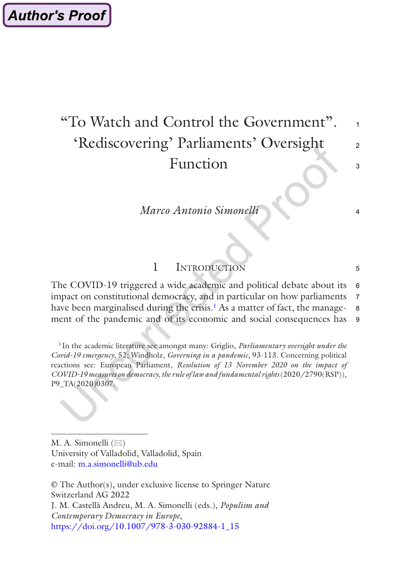# "To Watch and Control the Government". 'Rediscovering' Parliaments' Oversight Function

1

 $\mathfrak{D}$ 

 $\overline{\mathbf{3}}$ 

4

5

*Marco Antonio Simonelli*

## 1 Introduction

The COVID-19 triggered a wide academic and political debate about its impact on constitutional democracy, and in particular on how parliaments have been marginalised during the crisis.<sup>1</sup> As a matter of fact, the management of the pandemic and of its economic and social consequences has 6 7 8 9

<sup>1</sup> In the academic literature see amongst many: Griglio, *Parliamentary oversight under the Covid-19 emergency*, 52; Windholz, *Governing in a pandemic*, 93-113. Concerning political reactions see: European Parliament, *Resolution of 13 November 2020 on the impact of COVID-19 measures on democracy, the rule of law and fundamental rights* (2020/2790(RSP)), P9\_TA(2020)0307.

M. A. Simonelli  $(\boxtimes)$ University of Valladolid, Valladolid, Spain e-mail: [m.a.simonelli@ub.edu](mailto:m.a.simonelli@ub.edu)

© The Author(s), under exclusive license to Springer Nature Switzerland AG 2022 J. M. Castellà Andreu, M. A. Simonelli (eds.), *Populism and Contemporary Democracy in Europe*, [https://doi.org/10.1007/978-3-030-92884-1\\_15](https://doi.org/10.1007/978-3-030-92884-1_15#DOI)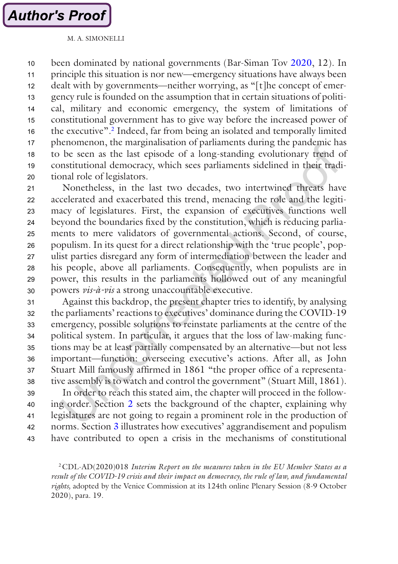been dominated by national governments (Bar-Siman Tov [2020,](#page-18-0) 12). In principle this situation is nor new—emergency situations have always been dealt with by governments—neither worrying, as "[t]he concept of emergency rule is founded on the assumption that in certain situations of political, military and economic emergency, the system of limitations of constitutional government has to give way before the increased power of the executive".2 Indeed, far from being an isolated and temporally limited phenomenon, the marginalisation of parliaments during the pandemic has to be seen as the last episode of a long-standing evolutionary trend of constitutional democracy, which sees parliaments sidelined in their traditional role of legislators. 10 11 12 13 14 15 16 17 18 19  $20$ 

Nonetheless, in the last two decades, two intertwined threats have accelerated and exacerbated this trend, menacing the role and the legitimacy of legislatures. First, the expansion of executives functions well beyond the boundaries fixed by the constitution, which is reducing parliaments to mere validators of governmental actions. Second, of course, populism. In its quest for a direct relationship with the 'true people', populist parties disregard any form of intermediation between the leader and his people, above all parliaments. Consequently, when populists are in power, this results in the parliaments hollowed out of any meaningful powers *vis-à-vis* a strong unaccountable executive. 21 22 23  $24$ 25 26 27 28 29 30

Against this backdrop, the present chapter tries to identify, by analysing the parliaments' reactions to executives' dominance during the COVID-19 emergency, possible solutions to reinstate parliaments at the centre of the political system. In particular, it argues that the loss of law-making functions may be at least partially compensated by an alternative—but not less important—function: overseeing executive's actions. After all, as John Stuart Mill famously affirmed in 1861 "the proper office of a representative assembly is to watch and control the government" (Stuart Mill, 1861). 31 32 33 34 35 36 37 38

In order to reach this stated aim, the chapter will proceed in the following order. Section [2](#page-3-0) sets the background of the chapter, explaining why legislatures are not going to regain a prominent role in the production of norms. Section [3](#page-5-0) illustrates how executives' aggrandisement and populism have contributed to open a crisis in the mechanisms of constitutional 39 40 41 42 43

2CDL-AD(2020)018 *Interim Report on the measures taken in the EU Member States as a result of the COVID-19 crisis and their impact on democracy, the rule of law, and fundamental rights,* adopted by the Venice Commission at its 124th online Plenary Session (8-9 October 2020), para. 19.

M. A. SIMONELLI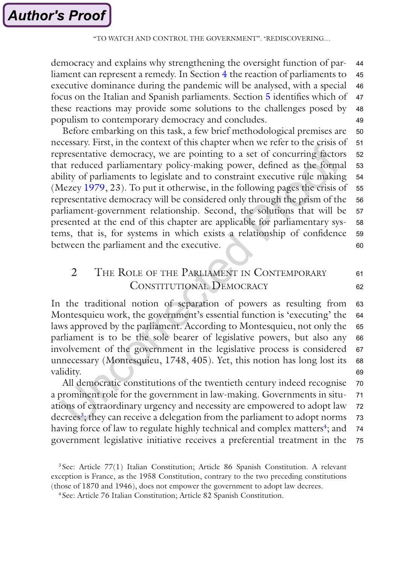<span id="page-3-0"></span>democracy and explains why strengthening the oversight function of parliament can represent a remedy. In Section [4](#page-10-0) the reaction of parliaments to executive dominance during the pandemic will be analysed, with a special focus on the Italian and Spanish parliaments. Section [5](#page-15-0) identifies which of these reactions may provide some solutions to the challenges posed by populism to contemporary democracy and concludes. 44 45 46 47 48 49

Before embarking on this task, a few brief methodological premises are necessary. First, in the context of this chapter when we refer to the crisis of representative democracy, we are pointing to a set of concurring factors that reduced parliamentary policy-making power, defined as the formal ability of parliaments to legislate and to constraint executive rule making (Mezey [1979,](#page-20-0) 23). To put it otherwise, in the following pages the crisis of representative democracy will be considered only through the prism of the parliament-government relationship. Second, the solutions that will be presented at the end of this chapter are applicable for parliamentary systems, that is, for systems in which exists a relationship of confidence between the parliament and the executive. 50 51 52 53 54 55 56 57 58 59  $60$ 

## 2 THE ROLE OF THE PARLIAMENT IN CONTEMPORARY CONSTITUTIONAL DEMOCRACY

61 62

In the traditional notion of separation of powers as resulting from Montesquieu work, the government's essential function is 'executing' the laws approved by the parliament. According to Montesquieu, not only the parliament is to be the sole bearer of legislative powers, but also any involvement of the government in the legislative process is considered unnecessary (Montesquieu, 1748, 405). Yet, this notion has long lost its validity. 63 64 65 66 67 68 69

All democratic constitutions of the twentieth century indeed recognise a prominent role for the government in law-making. Governments in situations of extraordinary urgency and necessity are empowered to adopt law decrees<sup>3</sup>; they can receive a delegation from the parliament to adopt norms having force of law to regulate highly technical and complex matters<sup>4</sup>; and government legislative initiative receives a preferential treatment in the 70 71 72 73 74 75

<sup>3</sup> See: Article 77(1) Italian Constitution; Article 86 Spanish Constitution. A relevant exception is France, as the 1958 Constitution, contrary to the two preceding constitutions (those of 1870 and 1946), does not empower the government to adopt law decrees.

<sup>4</sup> See: Article 76 Italian Constitution; Article 82 Spanish Constitution.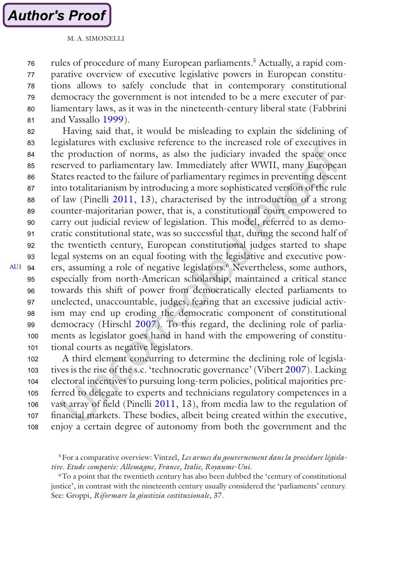M. A. SIMONELLI

<span id="page-4-0"></span>rules of procedure of many European parliaments.<sup>5</sup> Actually, a rapid comparative overview of executive legislative powers in European constitutions allows to safely conclude that in contemporary constitutional democracy the government is not intended to be a mere executer of parliamentary laws, as it was in the nineteenth-century liberal state (Fabbrini and Vassallo [1999](#page-19-0)). 76 77 78 79 80 81

Having said that, it would be misleading to explain the sidelining of legislatures with exclusive reference to the increased role of executives in the production of norms, as also the judiciary invaded the space once reserved to parliamentary law. Immediately after WWII, many European States reacted to the failure of parliamentary regimes in preventing descent into totalitarianism by introducing a more sophisticated version of the rule of law (Pinelli [2011](#page-20-0), 13), characterised by the introduction of a strong counter-majoritarian power, that is, a constitutional court empowered to carry out judicial review of legislation. This model, referred to as democratic constitutional state, was so successful that, during the second half of the twentieth century, European constitutional judges started to shape legal systems on an equal footing with the legislative and executive powers, assuming a role of negative legislators.6 Nevertheless, some authors, especially from north-American scholarship, maintained a critical stance towards this shift of power from democratically elected parliaments to unelected, unaccountable, judges, fearing that an excessive judicial activism may end up eroding the democratic component of constitutional democracy (Hirschl [2007\)](#page-20-0). To this regard, the declining role of parliaments as legislator goes hand in hand with the empowering of constitutional courts as negative legislators. [AU1](#page-22-0) 94 82 83 84 85 86 87 88 89 90 91 92 93 95 96 97 98 99 100 101

A third element concurring to determine the declining role of legislatives is the rise of the s.c. 'technocratic governance' (Vibert [2007](#page-21-0)). Lacking electoral incentives to pursuing long-term policies, political majorities preferred to delegate to experts and technicians regulatory competences in a vast array of field (Pinelli [2011](#page-20-0), 13), from media law to the regulation of financial markets. These bodies, albeit being created within the executive, enjoy a certain degree of autonomy from both the government and the 102 103 104 105 106 107 108

5For a comparative overview: Vintzel, *Les armes du gouvernement dans la procédure législative. Etude comparée: Allemagne, France, Italie, Royaume-Uni*.

6To a point that the twentieth century has also been dubbed the 'century of constitutional justice', in contrast with the nineteenth century usually considered the 'parliaments' century. See: Groppi, *Riformare la giustizia costituzionale*, 37.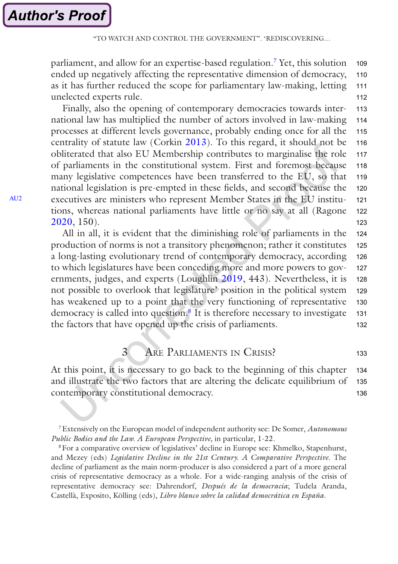<span id="page-5-0"></span>parliament, and allow for an expertise-based regulation.7 Yet, this solution ended up negatively affecting the representative dimension of democracy, as it has further reduced the scope for parliamentary law-making, letting unelected experts rule. 109 110 111 112

Finally, also the opening of contemporary democracies towards international law has multiplied the number of actors involved in law-making processes at different levels governance, probably ending once for all the centrality of statute law (Corkin [2013\)](#page-19-0). To this regard, it should not be obliterated that also EU Membership contributes to marginalise the role of parliaments in the constitutional system. First and foremost because many legislative competences have been transferred to the EU, so that national legislation is pre-empted in these fields, and second because the executives are ministers who represent Member States in the EU institutions, whereas national parliaments have little or no say at all (Ragone [2020](#page-20-0), 150). 113 114 115 116 117 118 119 120 121 122 123

All in all, it is evident that the diminishing role of parliaments in the production of norms is not a transitory phenomenon; rather it constitutes a long-lasting evolutionary trend of contemporary democracy, according to which legislatures have been conceding more and more powers to governments, judges, and experts (Loughlin [2019](#page-20-0), 443). Nevertheless, it is not possible to overlook that legislature' position in the political system has weakened up to a point that the very functioning of representative democracy is called into question.8 It is therefore necessary to investigate the factors that have opened up the crisis of parliaments. 124 125 126 127 128 129 130 131 132

> 3 Are Parliaments in Crisis? 133

At this point, it is necessary to go back to the beginning of this chapter and illustrate the two factors that are altering the delicate equilibrium of contemporary constitutional democracy. 134 135 136

<sup>7</sup>Extensively on the European model of independent authority see: De Somer, *Autonomous Public Bodies and the Law. A European Perspective,* in particular, 1-22.

<sup>8</sup>For a comparative overview of legislatives' decline in Europe see: Khmelko, Stapenhurst, and Mezey (eds) *Legislative Decline in the 21st Century. A Comparative Perspective*. The decline of parliament as the main norm-producer is also considered a part of a more general crisis of representative democracy as a whole. For a wide-ranging analysis of the crisis of representative democracy see: Dahrendorf, *Después de la democracia*; Tudela Aranda, Castellà, Exposito, Kölling (eds), *Libro blanco sobre la calidad democrática en España*.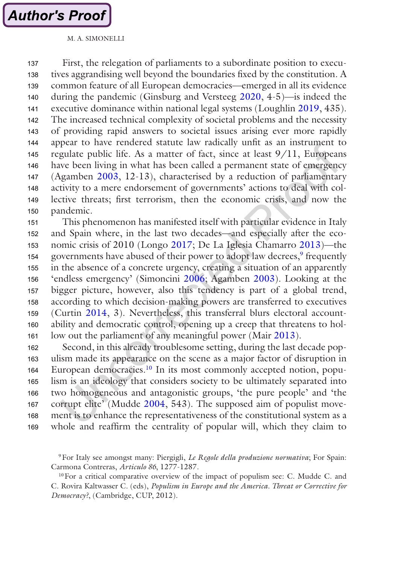**Author's Proof** 

First, the relegation of parliaments to a subordinate position to executives aggrandising well beyond the boundaries fixed by the constitution. A common feature of all European democracies—emerged in all its evidence during the pandemic (Ginsburg and Versteeg [2020](#page-19-0), 4-5)—is indeed the executive dominance within national legal systems (Loughlin [2019,](#page-20-0) 435). The increased technical complexity of societal problems and the necessity of providing rapid answers to societal issues arising ever more rapidly appear to have rendered statute law radically unfit as an instrument to regulate public life. As a matter of fact, since at least 9/11, Europeans have been living in what has been called a permanent state of emergency (Agamben [2003,](#page-18-0) 12-13), characterised by a reduction of parliamentary activity to a mere endorsement of governments' actions to deal with collective threats; first terrorism, then the economic crisis, and now the pandemic. 137 138 139 140 141 142 143 144 145 146 147 148 149 150

This phenomenon has manifested itself with particular evidence in Italy and Spain where, in the last two decades—and especially after the economic crisis of 2010 (Longo [2017;](#page-20-0) De La Iglesia Chamarro [2013](#page-19-0))—the governments have abused of their power to adopt law decrees,<sup>9</sup> frequently in the absence of a concrete urgency, creating a situation of an apparently 'endless emergency' (Simoncini [2006](#page-20-0); Agamben [2003\)](#page-18-0). Looking at the bigger picture, however, also this tendency is part of a global trend, according to which decision-making powers are transferred to executives (Curtin [2014,](#page-19-0) 3). Nevertheless, this transferral blurs electoral accountability and democratic control, opening up a creep that threatens to hollow out the parliament of any meaningful power (Mair [2013](#page-20-0)). 151 152 153 154 155 156 157 158 159 160 161

Second, in this already troublesome setting, during the last decade populism made its appearance on the scene as a major factor of disruption in European democracies.<sup>10</sup> In its most commonly accepted notion, populism is an ideology that considers society to be ultimately separated into two homogeneous and antagonistic groups, 'the pure people' and 'the corrupt elite' (Mudde [2004](#page-20-0), 543). The supposed aim of populist movement is to enhance the representativeness of the constitutional system as a whole and reaffirm the centrality of popular will, which they claim to 162 163 164 165 166 167 168 169

<sup>9</sup>For Italy see amongst many: Piergigli, *Le Regole della produzione normativa*; For Spain: Carmona Contreras, *Articulo 86*, 1277-1287.

<sup>10</sup>For a critical comparative overview of the impact of populism see: C. Mudde C. and C. Rovira Kaltwasser C. (eds), *Populism in Europe and the America. Threat or Corrective for Democracy?*, (Cambridge, CUP, 2012)*.*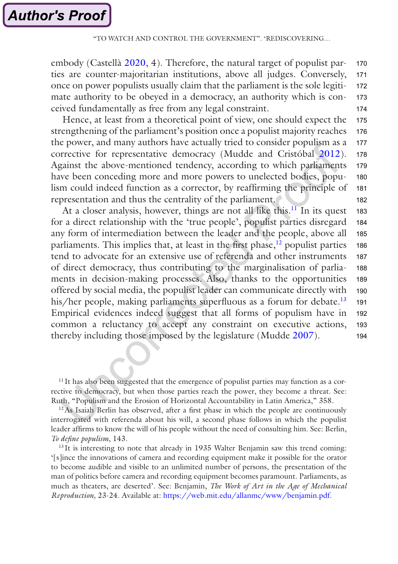embody (Castellà [2020,](#page-18-0) 4). Therefore, the natural target of populist parties are counter-majoritarian institutions, above all judges. Conversely, once on power populists usually claim that the parliament is the sole legitimate authority to be obeyed in a democracy, an authority which is conceived fundamentally as free from any legal constraint. 170 171 172 173 174

Hence, at least from a theoretical point of view, one should expect the strengthening of the parliament's position once a populist majority reaches the power, and many authors have actually tried to consider populism as a corrective for representative democracy (Mudde and Cristóbal [2012](#page-20-0)). Against the above-mentioned tendency, according to which parliaments have been conceding more and more powers to unelected bodies, populism could indeed function as a corrector, by reaffirming the principle of representation and thus the centrality of the parliament. 175 176 177 178 179 180 181 182

At a closer analysis, however, things are not all like this. $^{11}$  In its quest for a direct relationship with the 'true people', populist parties disregard any form of intermediation between the leader and the people, above all parliaments. This implies that, at least in the first phase, $12$  populist parties tend to advocate for an extensive use of referenda and other instruments of direct democracy, thus contributing to the marginalisation of parliaments in decision-making processes. Also, thanks to the opportunities offered by social media, the populist leader can communicate directly with his/her people, making parliaments superfluous as a forum for debate.<sup>13</sup> Empirical evidences indeed suggest that all forms of populism have in common a reluctancy to accept any constraint on executive actions, thereby including those imposed by the legislature (Mudde [2007](#page-20-0)). 183 184 185 186 187 188 189 190 191 192 193 194

<sup>11</sup>It has also been suggested that the emergence of populist parties may function as a corrective to democracy, but when those parties reach the power, they become a threat. See: Ruth, "Populism and the Erosion of Horizontal Accountability in Latin America," 358.

 $12$ As Isaiah Berlin has observed, after a first phase in which the people are continuously interrogated with referenda about his will, a second phase follows in which the populist leader affirms to know the will of his people without the need of consulting him. See: Berlin, *To define populism*, 143.

<sup>13</sup> It is interesting to note that already in 1935 Walter Benjamin saw this trend coming: '[s]ince the innovations of camera and recording equipment make it possible for the orator to become audible and visible to an unlimited number of persons, the presentation of the man of politics before camera and recording equipment becomes paramount. Parliaments, as much as theaters, are deserted'. See: Benjamin, *The Work of Art in the Age of Mechanical Reproduction,* 23-24. Available at: [https://web.mit.edu/allanmc/www/benjamin.pdf.](https://web.mit.edu/allanmc/www/benjamin.pdf)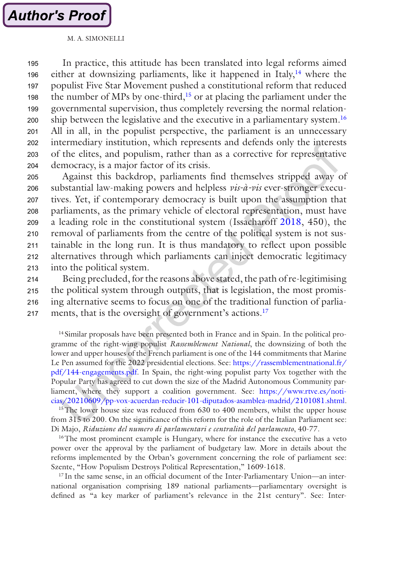**Author's Proof** 

In practice, this attitude has been translated into legal reforms aimed either at downsizing parliaments, like it happened in Italy, $14$  where the populist Five Star Movement pushed a constitutional reform that reduced the number of MPs by one-third, $15$  or at placing the parliament under the governmental supervision, thus completely reversing the normal relationship between the legislative and the executive in a parliamentary system.<sup>16</sup> All in all, in the populist perspective, the parliament is an unnecessary intermediary institution, which represents and defends only the interests of the elites, and populism, rather than as a corrective for representative democracy, is a major factor of its crisis. 195 196 197 198 199 200 201 202 203 204

Against this backdrop, parliaments find themselves stripped away of substantial law-making powers and helpless *vis-à-vis* ever-stronger executives. Yet, if contemporary democracy is built upon the assumption that parliaments, as the primary vehicle of electoral representation, must have a leading role in the constitutional system (Issacharoff [2018,](#page-20-0) 450), the removal of parliaments from the centre of the political system is not sustainable in the long run. It is thus mandatory to reflect upon possible alternatives through which parliaments can inject democratic legitimacy into the political system. 205 206 207 208 209 210 211 212 213

Being precluded, for the reasons above stated, the path of re-legitimising the political system through outputs, that is legislation, the most promising alternative seems to focus on one of the traditional function of parliaments, that is the oversight of government's actions.<sup>17</sup> 214 215 216 217

<sup>14</sup> Similar proposals have been presented both in France and in Spain. In the political programme of the right-wing populist *Rassemblement National*, the downsizing of both the lower and upper houses of the French parliament is one of the 144 commitments that Marine Le Pen assumed for the 2022 presidential elections. See: [https://rassemblementnational.fr/](https://rassemblementnational.fr/pdf/144-engagements.pdf) [pdf/144-engagements.pdf](https://rassemblementnational.fr/pdf/144-engagements.pdf). In Spain, the right-wing populist party Vox together with the Popular Party has agreed to cut down the size of the Madrid Autonomous Community parliament, where they support a coalition government. See: [https://www.rtve.es/noti](https://www.rtve.es/noticias/20210609/pp-vox-acuerdan-reducir-101-diputados-asamblea-madrid/2101081.shtml)[cias/20210609/pp-vox-acuerdan-reducir-101-diputados-asamblea-madrid/2101081.shtml](https://www.rtve.es/noticias/20210609/pp-vox-acuerdan-reducir-101-diputados-asamblea-madrid/2101081.shtml).

<sup>15</sup>The lower house size was reduced from 630 to 400 members, whilst the upper house from 315 to 200. On the significance of this reform for the role of the Italian Parliament see: Di Majo, *Riduzione del numero di parlamentari e centralità del parlamento*, 40-77.

<sup>16</sup>The most prominent example is Hungary, where for instance the executive has a veto power over the approval by the parliament of budgetary law. More in details about the reforms implemented by the Orban's government concerning the role of parliament see: Szente, "How Populism Destroys Political Representation," 1609-1618.

 $17$  In the same sense, in an official document of the Inter-Parliamentary Union—an international organisation comprising 189 national parliaments—parliamentary oversight is defined as "a key marker of parliament's relevance in the 21st century". See: Inter-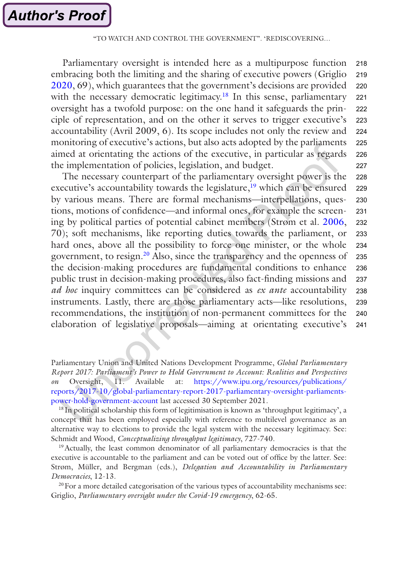Parliamentary oversight is intended here as a multipurpose function embracing both the limiting and the sharing of executive powers (Griglio [2020](#page-19-0), 69), which guarantees that the government's decisions are provided with the necessary democratic legitimacy.<sup>18</sup> In this sense, parliamentary oversight has a twofold purpose: on the one hand it safeguards the principle of representation, and on the other it serves to trigger executive's accountability (Avril 2009, 6). Its scope includes not only the review and monitoring of executive's actions, but also acts adopted by the parliaments aimed at orientating the actions of the executive, in particular as regards the implementation of policies, legislation, and budget. 218 219 220 221 222 223 224 225 226 227

The necessary counterpart of the parliamentary oversight power is the executive's accountability towards the legislature, $19$  which can be ensured by various means. There are formal mechanisms—interpellations, questions, motions of confidence—and informal ones, for example the screening by political parties of potential cabinet members (Strøm et al. [2006,](#page-21-0) 70); soft mechanisms, like reporting duties towards the parliament, or hard ones, above all the possibility to force one minister, or the whole government, to resign.20 Also, since the transparency and the openness of the decision-making procedures are fundamental conditions to enhance public trust in decision-making procedures, also fact-finding missions and *ad hoc* inquiry committees can be considered as *ex ante* accountability instruments. Lastly, there are those parliamentary acts—like resolutions, recommendations, the institution of non-permanent committees for the elaboration of legislative proposals—aiming at orientating executive's 228 229 230 231 232 233 234 235 236 237 238 239 240 241

Parliamentary Union and United Nations Development Programme, *Global Parliamentary Report 2017: Parliament's Power to Hold Government to Account: Realities and Perspectives on* Oversight, 11. Available at: [https://www.ipu.org/resources/publications/](https://www.ipu.org/resources/publications/reports/2017-10/global-parliamentary-report-2017-parliamentary-oversight-parliaments-power-hold-government-account) [reports/2017-10/global-parliamentary-report-2017-parliamentary-oversight-parliaments](https://www.ipu.org/resources/publications/reports/2017-10/global-parliamentary-report-2017-parliamentary-oversight-parliaments-power-hold-government-account)[power-hold-government-account](https://www.ipu.org/resources/publications/reports/2017-10/global-parliamentary-report-2017-parliamentary-oversight-parliaments-power-hold-government-account) last accessed 30 September 2021.

<sup>18</sup> In political scholarship this form of legitimisation is known as 'throughput legitimacy', a concept that has been employed especially with reference to multilevel governance as an alternative way to elections to provide the legal system with the necessary legitimacy. See: Schmidt and Wood, *Conceptualizing throughput legitimacy*, 727-740.

<sup>19</sup> Actually, the least common denominator of all parliamentary democracies is that the executive is accountable to the parliament and can be voted out of office by the latter. See: Strøm, Müller, and Bergman (eds.), *Delegation and Accountability in Parliamentary Democracies*, 12-13.

<sup>20</sup>For a more detailed categorisation of the various types of accountability mechanisms see: Griglio, *Parliamentary oversight under the Covid-19 emergency*, 62-65.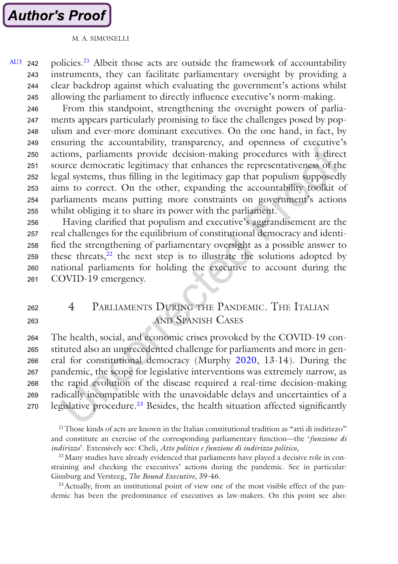<span id="page-10-0"></span>policies.21 Albeit those acts are outside the framework of accountability instruments, they can facilitate parliamentary oversight by providing a clear backdrop against which evaluating the government's actions whilst allowing the parliament to directly influence executive's norm-making. [AU3](#page-22-0) 242 243 244 245

From this standpoint, strengthening the oversight powers of parliaments appears particularly promising to face the challenges posed by populism and ever-more dominant executives. On the one hand, in fact, by ensuring the accountability, transparency, and openness of executive's actions, parliaments provide decision-making procedures with a direct source democratic legitimacy that enhances the representativeness of the legal systems, thus filling in the legitimacy gap that populism supposedly aims to correct. On the other, expanding the accountability toolkit of parliaments means putting more constraints on government's actions whilst obliging it to share its power with the parliament. 246 247 248 249 250 251 252 253 254 255

Having clarified that populism and executive's aggrandisement are the real challenges for the equilibrium of constitutional democracy and identified the strengthening of parliamentary oversight as a possible answer to these threats, $22$  the next step is to illustrate the solutions adopted by national parliaments for holding the executive to account during the COVID-19 emergency. 256 257 258 259 260 261

4 Parliaments During the Pandemic. The Italian and Spanish Cases 262 263

The health, social, and economic crises provoked by the COVID-19 constituted also an unprecedented challenge for parliaments and more in general for constitutional democracy (Murphy [2020,](#page-20-0) 13-14). During the pandemic, the scope for legislative interventions was extremely narrow, as the rapid evolution of the disease required a real-time decision-making radically incompatible with the unavoidable delays and uncertainties of a legislative procedure.<sup>23</sup> Besides, the health situation affected significantly 264 265 266 267 268 269 270

<sup>21</sup>Those kinds of acts are known in the Italian constitutional tradition as "atti di indirizzo" and constitute an exercise of the corresponding parliamentary function—the '*funzione di indirizzo*'. Extensively see: Cheli, *Atto politico e funzione di indirizzo politico*,

<sup>22</sup> Many studies have already evidenced that parliaments have played a decisive role in constraining and checking the executives' actions during the pandemic. See in particular: Ginsburg and Versteeg, *The Bound Executive*, 39-46.

23Actually, from an institutional point of view one of the most visible effect of the pandemic has been the predominance of executives as law-makers. On this point see also: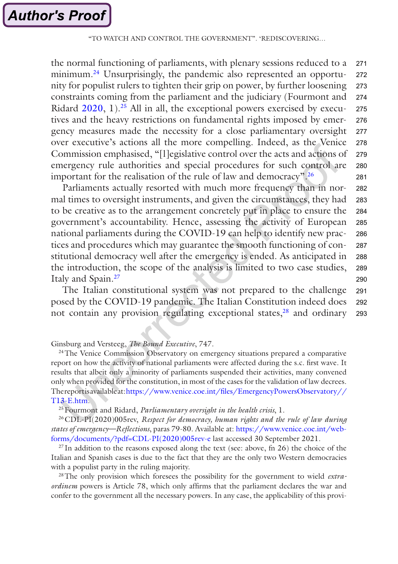the normal functioning of parliaments, with plenary sessions reduced to a minimum.24 Unsurprisingly, the pandemic also represented an opportunity for populist rulers to tighten their grip on power, by further loosening constraints coming from the parliament and the judiciary (Fourmont and Ridard  $2020$ , 1).<sup>25</sup> All in all, the exceptional powers exercised by executives and the heavy restrictions on fundamental rights imposed by emergency measures made the necessity for a close parliamentary oversight over executive's actions all the more compelling. Indeed, as the Venice Commission emphasised, "[l]egislative control over the acts and actions of emergency rule authorities and special procedures for such control are important for the realisation of the rule of law and democracy".26 271 272 273 274 275 276 277 278 279 280 281

Parliaments actually resorted with much more frequency than in normal times to oversight instruments, and given the circumstances, they had to be creative as to the arrangement concretely put in place to ensure the government's accountability. Hence, assessing the activity of European national parliaments during the COVID-19 can help to identify new practices and procedures which may guarantee the smooth functioning of constitutional democracy well after the emergency is ended. As anticipated in the introduction, the scope of the analysis is limited to two case studies, Italy and Spain.27 282 283 284 285 286 287 288 289 290

The Italian constitutional system was not prepared to the challenge posed by the COVID-19 pandemic. The Italian Constitution indeed does not contain any provision regulating exceptional states, $28$  and ordinary 291 292 293

#### Ginsburg and Versteeg, *The Bound Executive*, 747.

<sup>24</sup>The Venice Commission Observatory on emergency situations prepared a comparative report on how the activity of national parliaments were affected during the s.c. first wave. It results that albeit only a minority of parliaments suspended their activities, many convened only when provided for the constitution, in most of the cases for the validation of law decrees. The report is available at: [https://www.venice.coe.int/files/EmergencyPowersObservatory//](https://www.venice.coe.int/files/EmergencyPowersObservatory//T13-E.htm) [T13-E.htm.](https://www.venice.coe.int/files/EmergencyPowersObservatory//T13-E.htm)

25Fourmont and Ridard, *Parliamentary oversight in the health crisis*, 1.

26CDL-PI(2020)005rev, *Respect for democracy, human rights and the rule of law during states of emergency—Reflections*, paras 79-80. Available at: [https://www.venice.coe.int/web](https://www.venice.coe.int/webforms/documents/?pdf=CDL-PI(2020)005rev-e)[forms/documents/?pdf=CDL-PI\(2020\)005rev-e](https://www.venice.coe.int/webforms/documents/?pdf=CDL-PI(2020)005rev-e) last accessed 30 September 2021.

 $^{27}$  In addition to the reasons exposed along the text (see: above, fn 26) the choice of the Italian and Spanish cases is due to the fact that they are the only two Western democracies with a populist party in the ruling majority.

28The only provision which foresees the possibility for the government to wield *extraordinem* powers is Article 78, which only affirms that the parliament declares the war and confer to the government all the necessary powers. In any case, the applicability of this provi-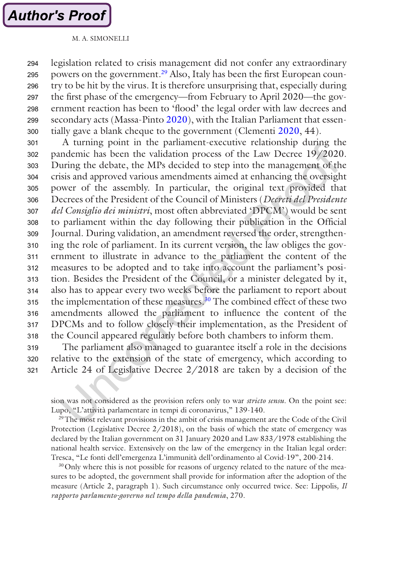legislation related to crisis management did not confer any extraordinary powers on the government.29 Also, Italy has been the first European country to be hit by the virus. It is therefore unsurprising that, especially during the first phase of the emergency—from February to April 2020—the government reaction has been to 'flood' the legal order with law decrees and secondary acts (Massa-Pinto [2020\)](#page-20-0), with the Italian Parliament that essentially gave a blank cheque to the government (Clementi [2020,](#page-19-0) 44). 294 295 296 297 298 299 300

A turning point in the parliament-executive relationship during the pandemic has been the validation process of the Law Decree 19/2020. During the debate, the MPs decided to step into the management of the crisis and approved various amendments aimed at enhancing the oversight power of the assembly. In particular, the original text provided that Decrees of the President of the Council of Ministers (*Decreti del Presidente del Consiglio dei ministri*, most often abbreviated 'DPCM') would be sent to parliament within the day following their publication in the Official Journal. During validation, an amendment reversed the order, strengthening the role of parliament. In its current version, the law obliges the government to illustrate in advance to the parliament the content of the measures to be adopted and to take into account the parliament's position. Besides the President of the Council, or a minister delegated by it, also has to appear every two weeks before the parliament to report about the implementation of these measures.<sup>30</sup> The combined effect of these two amendments allowed the parliament to influence the content of the DPCMs and to follow closely their implementation, as the President of the Council appeared regularly before both chambers to inform them. 301 302 303 304 305 306 307 308 309 310 311 312 313 314 315 316 317 318

The parliament also managed to guarantee itself a role in the decisions relative to the extension of the state of emergency, which according to Article 24 of Legislative Decree 2/2018 are taken by a decision of the 319 320 321

sion was not considered as the provision refers only to war *stricto sensu*. On the point see: Lupo, "L'attività parlamentare in tempi di coronavirus," 139-140.

<sup>29</sup>The most relevant provisions in the ambit of crisis management are the Code of the Civil Protection (Legislative Decree  $2/2018$ ), on the basis of which the state of emergency was declared by the Italian government on 31 January 2020 and Law 833/1978 establishing the national health service. Extensively on the law of the emergency in the Italian legal order: Tresca, "Le fonti dell'emergenza L'immunità dell'ordinamento al Covid-19", 200-214.

<sup>30</sup>Only where this is not possible for reasons of urgency related to the nature of the measures to be adopted, the government shall provide for information after the adoption of the measure (Article 2, paragraph 1). Such circumstance only occurred twice. See: Lippolis*, Il rapporto parlamento-governo nel tempo della pandemia*, 270.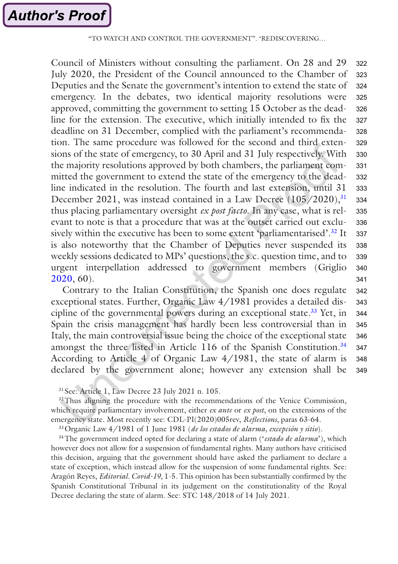Council of Ministers without consulting the parliament. On 28 and 29 July 2020, the President of the Council announced to the Chamber of Deputies and the Senate the government's intention to extend the state of emergency. In the debates, two identical majority resolutions were approved, committing the government to setting 15 October as the deadline for the extension. The executive, which initially intended to fix the deadline on 31 December, complied with the parliament's recommendation. The same procedure was followed for the second and third extensions of the state of emergency, to 30 April and 31 July respectively. With the majority resolutions approved by both chambers, the parliament committed the government to extend the state of the emergency to the deadline indicated in the resolution. The fourth and last extension, until 31 December 2021, was instead contained in a Law Decree (105/2020),<sup>31</sup> thus placing parliamentary oversight *ex post facto*. In any case, what is relevant to note is that a procedure that was at the outset carried out exclusively within the executive has been to some extent 'parliamentarised'.<sup>32</sup> It is also noteworthy that the Chamber of Deputies never suspended its weekly sessions dedicated to MPs' questions, the s.c. question time, and to urgent interpellation addressed to government members (Griglio [2020](#page-19-0), 60). 322 323 324 325 326 327 328 329 330 331 332 333 334 335 336 337 338 339 340 341

Contrary to the Italian Constitution, the Spanish one does regulate exceptional states. Further, Organic Law 4/1981 provides a detailed discipline of the governmental powers during an exceptional state.33 Yet, in Spain the crisis management has hardly been less controversial than in Italy, the main controversial issue being the choice of the exceptional state amongst the three listed in Article 116 of the Spanish Constitution.<sup>34</sup> According to Article 4 of Organic Law 4/1981, the state of alarm is declared by the government alone; however any extension shall be 342 343 344 345 346 347 348 349

<sup>32</sup>Thus aligning the procedure with the recommendations of the Venice Commission, which require parliamentary involvement, either *ex ante* or *ex post*, on the extensions of the emergency state. Most recently see: CDL-PI(2020)005rev, *Reflections*, paras 63-64.

33Organic Law 4/1981 of 1 June 1981 (*de los estados de alarma, excepción y sitio*).

34The government indeed opted for declaring a state of alarm ('*estado de alarma*'), which however does not allow for a suspension of fundamental rights. Many authors have criticised this decision, arguing that the government should have asked the parliament to declare a state of exception, which instead allow for the suspension of some fundamental rights. See: Aragón Reyes, *Editorial. Covid-19*, 1-5. This opinion has been substantially confirmed by the Spanish Constitutional Tribunal in its judgement on the constitutionality of the Royal Decree declaring the state of alarm. See: STC 148/2018 of 14 July 2021.

<sup>31</sup> See: Article 1, Law Decree 23 July 2021 n. 105.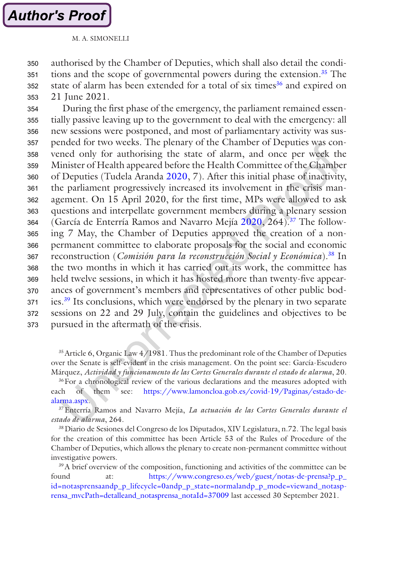#### M. A. SIMONELLI

authorised by the Chamber of Deputies, which shall also detail the conditions and the scope of governmental powers during the extension.<sup>35</sup> The state of alarm has been extended for a total of six times<sup>36</sup> and expired on 21 June 2021. 350 351 352 353

During the first phase of the emergency, the parliament remained essentially passive leaving up to the government to deal with the emergency: all new sessions were postponed, and most of parliamentary activity was suspended for two weeks. The plenary of the Chamber of Deputies was convened only for authorising the state of alarm, and once per week the Minister of Health appeared before the Health Committee of the Chamber of Deputies (Tudela Aranda [2020,](#page-21-0) 7). After this initial phase of inactivity, the parliament progressively increased its involvement in the crisis management. On 15 April 2020, for the first time, MPs were allowed to ask questions and interpellate government members during a plenary session (García de Enterría Ramos and Navarro Mejía [2020](#page-19-0), 264).37 The following 7 May, the Chamber of Deputies approved the creation of a nonpermanent committee to elaborate proposals for the social and economic reconstruction (*Comisión para la reconstrucción Social y Económica*).38 In the two months in which it has carried out its work, the committee has held twelve sessions, in which it has hosted more than twenty-five appearances of government's members and representatives of other public bodies.39 Its conclusions, which were endorsed by the plenary in two separate sessions on 22 and 29 July, contain the guidelines and objectives to be pursued in the aftermath of the crisis. 354 355 356 357 358 359 360 361 362 363 364 365 366 367 368 369 370 371 372 373

35Article 6, Organic Law 4/1981. Thus the predominant role of the Chamber of Deputies over the Senate is self-evident in the crisis management. On the point see: García-Escudero Márquez, *Actividad y funcionamento de las Cortes Generales durante el estado de alarma*, 20.

<sup>36</sup> For a chronological review of the various declarations and the measures adopted with each of them see: [https://www.lamoncloa.gob.es/covid-19/Paginas/estado-de](https://www.lamoncloa.gob.es/covid-19/Paginas/estado-de-alarma.aspx)[alarma.aspx](https://www.lamoncloa.gob.es/covid-19/Paginas/estado-de-alarma.aspx).

37Enterría Ramos and Navarro Mejía, *La actuación de las Cortes Generales durante el estado de alarma*, 264.

38Diario de Sesiones del Congreso de los Diputados, XIV Legislatura, n.72. The legal basis for the creation of this committee has been Article 53 of the Rules of Procedure of the Chamber of Deputies, which allows the plenary to create non-permanent committee without investigative powers.

<sup>39</sup>A brief overview of the composition, functioning and activities of the committee can be found at: [https://www.congreso.es/web/guest/notas-de-prensa?p\\_p\\_](https://www.congreso.es/web/guest/notas-de-prensa?p_p_id=notasprensa&p_p_lifecycle=0&p_p_state=normal&p_p_mode=view&_notasprensa_mvcPath=detalle&_notasprensa_notaId=37009) [id=notasprensaandp\\_p\\_lifecycle=0andp\\_p\\_state=normalandp\\_p\\_mode=viewand\\_notasp](https://www.congreso.es/web/guest/notas-de-prensa?p_p_id=notasprensa&p_p_lifecycle=0&p_p_state=normal&p_p_mode=view&_notasprensa_mvcPath=detalle&_notasprensa_notaId=37009)[rensa\\_mvcPath=detalleand\\_notasprensa\\_notaId=37009](https://www.congreso.es/web/guest/notas-de-prensa?p_p_id=notasprensa&p_p_lifecycle=0&p_p_state=normal&p_p_mode=view&_notasprensa_mvcPath=detalle&_notasprensa_notaId=37009) last accessed 30 September 2021.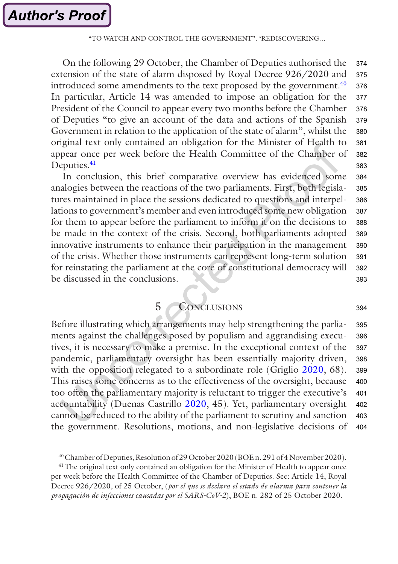"TO WATCH AND CONTROL THE GOVERNMENT". 'REDISCOVERING…

<span id="page-15-0"></span>On the following 29 October, the Chamber of Deputies authorised the extension of the state of alarm disposed by Royal Decree 926/2020 and introduced some amendments to the text proposed by the government.<sup>40</sup> In particular, Article 14 was amended to impose an obligation for the President of the Council to appear every two months before the Chamber of Deputies "to give an account of the data and actions of the Spanish Government in relation to the application of the state of alarm", whilst the original text only contained an obligation for the Minister of Health to appear once per week before the Health Committee of the Chamber of Deputies.<sup>41</sup> 374 375 376 377 378 379 380 381 382 383

In conclusion, this brief comparative overview has evidenced some analogies between the reactions of the two parliaments. First, both legislatures maintained in place the sessions dedicated to questions and interpellations to government's member and even introduced some new obligation for them to appear before the parliament to inform it on the decisions to be made in the context of the crisis. Second, both parliaments adopted innovative instruments to enhance their participation in the management of the crisis. Whether those instruments can represent long-term solution for reinstating the parliament at the core of constitutional democracy will be discussed in the conclusions. 384 385 386 387 388 389 390 391 392 393

5 Conclusions

394

Before illustrating which arrangements may help strengthening the parliaments against the challenges posed by populism and aggrandising executives, it is necessary to make a premise. In the exceptional context of the pandemic, parliamentary oversight has been essentially majority driven, with the opposition relegated to a subordinate role (Griglio [2020](#page-19-0), 68). This raises some concerns as to the effectiveness of the oversight, because too often the parliamentary majority is reluctant to trigger the executive's accountability (Duenas Castrillo [2020,](#page-19-0) 45). Yet, parliamentary oversight cannot be reduced to the ability of the parliament to scrutiny and sanction the government. Resolutions, motions, and non-legislative decisions of 395 396 397 398 399 400 401 402 403 404

<sup>41</sup>The original text only contained an obligation for the Minister of Health to appear once per week before the Health Committee of the Chamber of Deputies. See: Article 14, Royal Decree 926/2020, of 25 October, (*por el que se declara el estado de alarma para contener la propagación de infecciones causadas por el SARS-CoV-2*), BOE n. 282 of 25 October 2020.

<sup>40</sup>Chamber of Deputies, Resolution of 29 October 2020 (BOE n. 291 of 4 November 2020).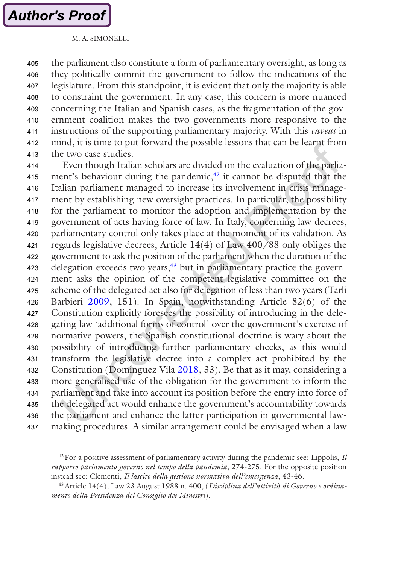the parliament also constitute a form of parliamentary oversight, as long as they politically commit the government to follow the indications of the legislature. From this standpoint, it is evident that only the majority is able to constraint the government. In any case, this concern is more nuanced concerning the Italian and Spanish cases, as the fragmentation of the government coalition makes the two governments more responsive to the instructions of the supporting parliamentary majority. With this *caveat* in mind, it is time to put forward the possible lessons that can be learnt from the two case studies. 405 406 407 408 409 410 411 412 413

Even though Italian scholars are divided on the evaluation of the parliament's behaviour during the pandemic,<sup>42</sup> it cannot be disputed that the Italian parliament managed to increase its involvement in crisis management by establishing new oversight practices. In particular, the possibility for the parliament to monitor the adoption and implementation by the government of acts having force of law. In Italy, concerning law decrees, parliamentary control only takes place at the moment of its validation. As regards legislative decrees, Article 14(4) of Law 400/88 only obliges the government to ask the position of the parliament when the duration of the delegation exceeds two years, $43$  but in parliamentary practice the government asks the opinion of the competent legislative committee on the scheme of the delegated act also for delegation of less than two years (Tarli Barbieri [2009](#page-21-0), 151). In Spain, notwithstanding Article 82(6) of the Constitution explicitly foresees the possibility of introducing in the delegating law 'additional forms of control' over the government's exercise of normative powers, the Spanish constitutional doctrine is wary about the possibility of introducing further parliamentary checks, as this would transform the legislative decree into a complex act prohibited by the Constitution (Dominguez Vila [2018,](#page-19-0) 33). Be that as it may, considering a more generalised use of the obligation for the government to inform the parliament and take into account its position before the entry into force of the delegated act would enhance the government's accountability towards the parliament and enhance the latter participation in governmental lawmaking procedures. A similar arrangement could be envisaged when a law 414 415 416 417 418 419 420 421 422 423 424 425 426 427 428 429 430 431 432 433 434 435 436 437

 $42$  For a positive assessment of parliamentary activity during the pandemic see: Lippolis,  $I\!I$ *rapporto parlamento-governo nel tempo della pandemia*, 274-275. For the opposite position instead see: Clementi, *Il lascito della gestione normativa dell'emergenza*, 43-46.

43Article 14(4), Law 23 August 1988 n. 400, (*Disciplina dell'attività di Governo e ordinamento della Presidenza del Consiglio dei Ministri*).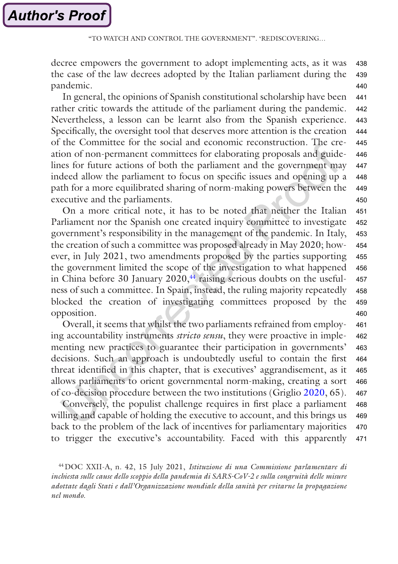decree empowers the government to adopt implementing acts, as it was the case of the law decrees adopted by the Italian parliament during the pandemic. 438 439 440

In general, the opinions of Spanish constitutional scholarship have been rather critic towards the attitude of the parliament during the pandemic. Nevertheless, a lesson can be learnt also from the Spanish experience. Specifically, the oversight tool that deserves more attention is the creation of the Committee for the social and economic reconstruction. The creation of non-permanent committees for elaborating proposals and guidelines for future actions of both the parliament and the government may indeed allow the parliament to focus on specific issues and opening up a path for a more equilibrated sharing of norm-making powers between the executive and the parliaments. 441 442 443 444 445 446 447 448 449 450

On a more critical note, it has to be noted that neither the Italian Parliament nor the Spanish one created inquiry committee to investigate government's responsibility in the management of the pandemic. In Italy, the creation of such a committee was proposed already in May 2020; however, in July 2021, two amendments proposed by the parties supporting the government limited the scope of the investigation to what happened in China before 30 January  $2020<sup>44</sup>$  raising serious doubts on the usefulness of such a committee. In Spain, instead, the ruling majority repeatedly blocked the creation of investigating committees proposed by the opposition. 451 452 453 454 455 456 457 458 459 460

Overall, it seems that whilst the two parliaments refrained from employing accountability instruments *stricto sensu*, they were proactive in implementing new practices to guarantee their participation in governments' decisions. Such an approach is undoubtedly useful to contain the first threat identified in this chapter, that is executives' aggrandisement, as it allows parliaments to orient governmental norm-making, creating a sort of co-decision procedure between the two institutions (Griglio [2020,](#page-19-0) 65). 461 462 463 464 465 466 467

Conversely, the populist challenge requires in first place a parliament willing and capable of holding the executive to account, and this brings us back to the problem of the lack of incentives for parliamentary majorities to trigger the executive's accountability. Faced with this apparently 468 469 470 471

44DOC XXII-A, n. 42, 15 July 2021, *Istituzione di una Commissione parlamentare di inchiesta sulle cause dello scoppio della pandemia di SARS-CoV-2 e sulla congruità delle misure adottate dagli Stati e dall'Organizzazione mondiale della sanità per evitarne la propagazione nel mondo*.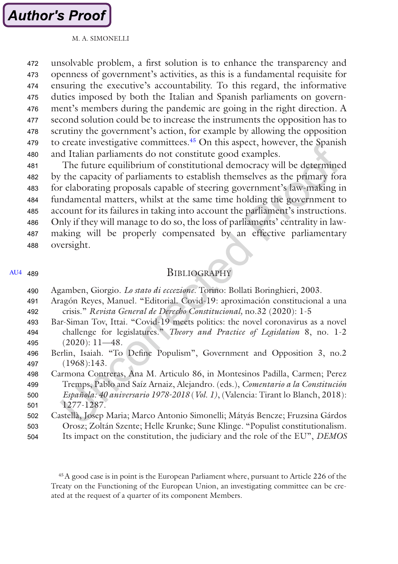<span id="page-18-0"></span>unsolvable problem, a first solution is to enhance the transparency and openness of government's activities, as this is a fundamental requisite for ensuring the executive's accountability. To this regard, the informative duties imposed by both the Italian and Spanish parliaments on government's members during the pandemic are going in the right direction. A second solution could be to increase the instruments the opposition has to scrutiny the government's action, for example by allowing the opposition to create investigative committees.45 On this aspect, however, the Spanish and Italian parliaments do not constitute good examples. 472 473 474 475 476 477 478 479 480

The future equilibrium of constitutional democracy will be determined by the capacity of parliaments to establish themselves as the primary fora for elaborating proposals capable of steering government's law-making in fundamental matters, whilst at the same time holding the government to account for its failures in taking into account the parliament's instructions. Only if they will manage to do so, the loss of parliaments' centrality in lawmaking will be properly compensated by an effective parliamentary oversight. 481 482 483 484 485 486 487 488

#### [AU4](#page-22-0) 489

### **BIBLIOGRAPHY**

| 490 | Agamben, Giorgio. Lo stato di eccezione. Torino: Bollati Boringhieri, 2003.         |
|-----|-------------------------------------------------------------------------------------|
| 491 | Aragón Reyes, Manuel. "Editorial. Covid-19: aproximación constitucional a una       |
| 492 | crisis." Revista General de Derecho Constitucional, no.32 (2020): 1-5               |
| 493 | Bar-Siman Tov, Ittai. "Covid-19 meets politics: the novel coronavirus as a novel    |
| 494 | challenge for legislatures." Theory and Practice of Legislation 8, no. 1-2          |
| 495 | $(2020): 11-48.$                                                                    |
| 496 | Berlin, Isaiah. "To Define Populism", Government and Opposition 3, no.2             |
| 497 | (1968):143.                                                                         |
| 498 | Carmona Contreras, Ana M. Articulo 86, in Montesinos Padilla, Carmen; Perez         |
| 499 | Tremps, Pablo and Saíz Arnaiz, Alejandro. (eds.), Comentario a la Constitución      |
| 500 | Española: 40 aniversario 1978-2018 (Vol. 1), (Valencia: Tirant lo Blanch, 2018):    |
| 501 | 1277-1287.                                                                          |
| 502 | Castellà, Josep Maria; Marco Antonio Simonelli; Mátyás Bencze; Fruzsina Gárdos      |
| 503 | Orosz; Zoltán Szente; Helle Krunke; Sune Klinge. "Populist constitutionalism.       |
| 504 | Its impact on the constitution, the judiciary and the role of the EU", <i>DEMOS</i> |

45A good case is in point is the European Parliament where, pursuant to Article 226 of the Treaty on the Functioning of the European Union, an investigating committee can be created at the request of a quarter of its component Members.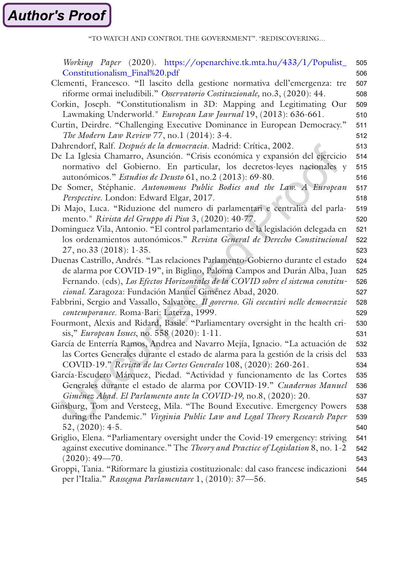"TO WATCH AND CONTROL THE GOVERNMENT". 'REDISCOVERING…

<span id="page-19-0"></span>

| Working Paper (2020). https://openarchive.tk.mta.hu/433/1/Populist_                  | 505 |
|--------------------------------------------------------------------------------------|-----|
| Constitutionalism_Final%20.pdf                                                       | 506 |
| Clementi, Francesco. "Il lascito della gestione normativa dell'emergenza: tre        | 507 |
| riforme ormai ineludibili." Osservatorio Costituzionale, no.3, (2020): 44.           | 508 |
| Corkin, Joseph. "Constitutionalism in 3D: Mapping and Legitimating Our               | 509 |
| Lawmaking Underworld." European Law Journal 19, (2013): 636-661.                     | 510 |
| Curtin, Deirdre. "Challenging Executive Dominance in European Democracy."            | 511 |
| The Modern Law Review 77, no.1 (2014): 3-4.                                          | 512 |
| Dahrendorf, Ralf. Después de la democracia. Madrid: Crítica, 2002.                   | 513 |
| De La Iglesia Chamarro, Asunción. "Crisis económica y expansión del ejercicio        | 514 |
| normativo del Gobierno. En particular, los decretos-leyes nacionales y               | 515 |
| autonómicos." Estudios de Deusto 61, no.2 (2013): 69-80.                             | 516 |
| De Somer, Stéphanie. Autonomous Public Bodies and the Law. A European                | 517 |
| Perspective. London: Edward Elgar, 2017.                                             | 518 |
| Di Majo, Luca. "Riduzione del numero di parlamentari e centralità del parla-         | 519 |
| mento." Rivista del Gruppo di Pisa 3, (2020): 40-77.                                 | 520 |
| Dominguez Vila, Antonio. "El control parlamentario de la legislación delegada en     | 521 |
| los ordenamientos autonómicos." Revista General de Derecho Constitucional            | 522 |
| 27, no.33 (2018): 1-35.                                                              | 523 |
| Duenas Castrillo, Andrés. "Las relaciones Parlamento-Gobierno durante el estado      | 524 |
| de alarma por COVID-19", in Biglino, Paloma Campos and Durán Alba, Juan              | 525 |
| Fernando. (eds), Los Efectos Horizontales de la COVID sobre el sistema constitu-     | 526 |
| cional. Zaragoza: Fundación Manuel Giménez Abad, 2020.                               | 527 |
| Fabbrini, Sergio and Vassallo, Salvatore. Il governo. Gli esecutivi nelle democrazie | 528 |
| contemporanee. Roma-Bari: Laterza, 1999.                                             | 529 |
| Fourmont, Alexis and Ridard, Basile. "Parliamentary oversight in the health cri-     | 530 |
| sis," European Issues, no. 558 (2020): 1-11.                                         | 531 |
| García de Enterría Ramos, Andrea and Navarro Mejía, Ignacio. "La actuación de        | 532 |
| las Cortes Generales durante el estado de alarma para la gestión de la crisis del    | 533 |
| COVID-19." Revista de las Cortes Generales 108, (2020): 260-261.                     | 534 |
| García-Escudero Márquez, Piedad. "Actividad y funcionamento de las Cortes            | 535 |
| Generales durante el estado de alarma por COVID-19." Cuadernos Manuel                | 536 |
| Giménez Abad. El Parlamento ante la COVID-19, no.8, (2020): 20.                      | 537 |
| Ginsburg, Tom and Versteeg, Mila. "The Bound Executive. Emergency Powers             | 538 |
| during the Pandemic." Virginia Public Law and Legal Theory Research Paper            | 539 |
| $52, (2020): 4-5.$                                                                   | 540 |
| Griglio, Elena. "Parliamentary oversight under the Covid-19 emergency: striving      | 541 |
| against executive dominance." The Theory and Practice of Legislation 8, no. 1-2      | 542 |
| $(2020): 49 - 70.$                                                                   | 543 |
| Groppi, Tania. "Riformare la giustizia costituzionale: dal caso francese indicazioni | 544 |
| per l'Italia." Rassegna Parlamentare 1, (2010): 37-56.                               | 545 |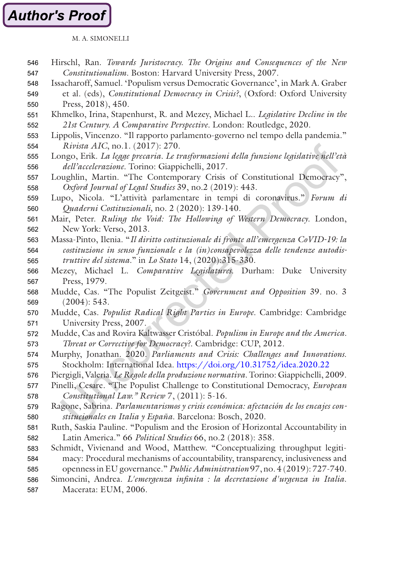### M. A. SIMONELLI

<span id="page-20-0"></span>

| 546 | Hirschl, Ran. Towards Juristocracy. The Origins and Consequences of the New           |  |  |
|-----|---------------------------------------------------------------------------------------|--|--|
| 547 | Constitutionalism. Boston: Harvard University Press, 2007.                            |  |  |
| 548 | Issacharoff, Samuel. 'Populism versus Democratic Governance', in Mark A. Graber       |  |  |
| 549 | et al. (eds), Constitutional Democracy in Crisis?, (Oxford: Oxford University         |  |  |
| 550 | Press, 2018), 450.                                                                    |  |  |
| 551 | Khmelko, Irina, Stapenhurst, R. and Mezey, Michael L Legislative Decline in the       |  |  |
| 552 | 21st Century. A Comparative Perspective. London: Routledge, 2020.                     |  |  |
| 553 | Lippolis, Vincenzo. "Il rapporto parlamento-governo nel tempo della pandemia."        |  |  |
| 554 | Rivista AIC, no.1. (2017): 270.                                                       |  |  |
| 555 | Longo, Erik. La legge precaria. Le trasformazioni della funzione legislative nell'età |  |  |
| 556 | dell'accelerazione. Torino: Giappichelli, 2017.                                       |  |  |
| 557 | Loughlin, Martin. "The Contemporary Crisis of Constitutional Democracy",              |  |  |
| 558 | Oxford Journal of Legal Studies 39, no.2 (2019): 443.                                 |  |  |
| 559 | Lupo, Nicola. "L'attività parlamentare in tempi di coronavirus." Forum di             |  |  |
| 560 | Quaderni Costituzionali, no. 2 (2020): 139-140.                                       |  |  |
| 561 | Mair, Peter. Ruling the Void: The Hollowing of Western Democracy. London,             |  |  |
| 562 | New York: Verso, 2013.                                                                |  |  |
| 563 | Massa-Pinto, Ilenia. "Il diritto costituzionale di fronte all'emergenza CoVID-19: la  |  |  |
| 564 | costituzione in senso funzionale e la (in)consapevolezza delle tendenze autodis-      |  |  |
| 565 | truttive del sistema." in Lo Stato 14, (2020):315-330.                                |  |  |
| 566 | Mezey, Michael L. Comparative Legislatures. Durham: Duke University                   |  |  |
| 567 | Press, 1979.                                                                          |  |  |
| 568 | Mudde, Cas. "The Populist Zeitgeist." Government and Opposition 39. no. 3             |  |  |
| 569 | (2004): 543.                                                                          |  |  |
| 570 | Mudde, Cas. Populist Radical Right Parties in Europe. Cambridge: Cambridge            |  |  |
| 571 | University Press, 2007.                                                               |  |  |
| 572 | Mudde, Cas and Rovira Kaltwasser Cristóbal. Populism in Europe and the America.       |  |  |
| 573 | Threat or Corrective for Democracy?. Cambridge: CUP, 2012.                            |  |  |
| 574 | Murphy, Jonathan. 2020. Parliaments and Crisis: Challenges and Innovations.           |  |  |
| 575 | Stockholm: International Idea. https://doi.org/10.31752/idea.2020.22                  |  |  |
| 576 | Piergigli, Valeria. Le Regole della produzione normativa. Torino: Giappichelli, 2009. |  |  |
| 577 | Pinelli, Cesare. "The Populist Challenge to Constitutional Democracy, European        |  |  |
| 578 | Constitutional Law." Review 7, (2011): 5-16.                                          |  |  |
| 579 | Ragone, Sabrina. Parlamentarismos y crisis económica: afectación de los encajes con-  |  |  |
| 580 | stitucionales en Italia y España. Barcelona: Bosch, 2020.                             |  |  |
| 581 | Ruth, Saskia Pauline. "Populism and the Erosion of Horizontal Accountability in       |  |  |
| 582 | Latin America." 66 Political Studies 66, no.2 (2018): 358.                            |  |  |
| 583 | Schmidt, Vivienand and Wood, Matthew. "Conceptualizing throughput legiti-             |  |  |
| 584 | macy: Procedural mechanisms of accountability, transparency, inclusiveness and        |  |  |
| 585 | openness in EU governance." Public Administration 97, no. 4 (2019): 727-740.          |  |  |
| 586 | Simoncini, Andrea. L'emergenza infinita : la decretazione d'urgenza in Italia.        |  |  |
| 587 | Macerata: EUM, 2006.                                                                  |  |  |
|     |                                                                                       |  |  |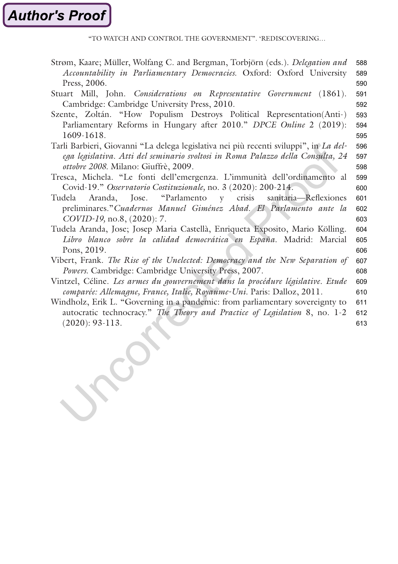"TO WATCH AND CONTROL THE GOVERNMENT". 'REDISCOVERING…

<span id="page-21-0"></span>

| Strøm, Kaare; Müller, Wolfang C. and Bergman, Torbjörn (eds.). Delegation and         | 588 |
|---------------------------------------------------------------------------------------|-----|
| Accountability in Parliamentary Democracies. Oxford: Oxford University                | 589 |
| Press, 2006.                                                                          | 590 |
| Stuart Mill, John. Considerations on Representative Government (1861).                | 591 |
| Cambridge: Cambridge University Press, 2010.                                          | 592 |
| Szente, Zoltán. "How Populism Destroys Political Representation(Anti-)                | 593 |
| Parliamentary Reforms in Hungary after 2010." DPCE Online 2 (2019):                   | 594 |
| 1609-1618.                                                                            | 595 |
| Tarli Barbieri, Giovanni "La delega legislativa nei più recenti sviluppi", in La del- | 596 |
| ega legislativa. Atti del seminario svoltosi in Roma Palazzo della Consulta, 24       | 597 |
| ottobre 2008. Milano: Giuffrè, 2009.                                                  | 598 |
| Tresca, Michela. "Le fonti dell'emergenza. L'immunità dell'ordinamento al             |     |
| Covid-19." Osservatorio Costituzionale, no. 3 (2020): 200-214.                        | 600 |
| Jose. "Parlamento y<br>crisis<br>sanitaria-Reflexiones<br>Tudela<br>Aranda.           |     |
| preliminares." Cuadernos Manuel Giménez Abad. El Parlamento ante la                   |     |
| COVID-19, no.8, (2020): 7.                                                            | 603 |
| Tudela Aranda, Jose; Josep Maria Castellà, Enriqueta Exposito, Mario Kölling.         | 604 |
| Libro blanco sobre la calidad democrática en España. Madrid: Marcial                  |     |
| Pons, 2019.                                                                           | 606 |
| Vibert, Frank. The Rise of the Unelected: Democracy and the New Separation of         | 607 |
| Powers. Cambridge: Cambridge University Press, 2007.                                  | 608 |
| Vintzel, Céline. Les armes du gouvernement dans la procédure législative. Etude       | 609 |
| comparée: Allemagne, France, Italie, Royaume-Uni. Paris: Dalloz, 2011.                | 610 |
| Windholz, Erik L. "Governing in a pandemic: from parliamentary sovereignty to         | 611 |
| autocratic technocracy." The Theory and Practice of Legislation 8, no. 1-2            | 612 |
| $(2020): 93-113.$                                                                     | 613 |
|                                                                                       |     |

CC